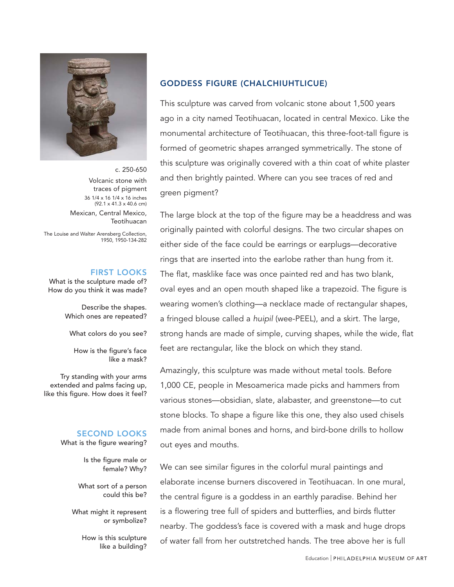

c. 250-650 Volcanic stone with traces of pigment 36 1/4 x 16 1/4 x 16 inches (92.1 x 41.3 x 40.6 cm) Mexican, Central Mexico, **Teotihuacan** 

The Louise and Walter Arensberg Collection, 1950, 1950-134-282

#### FIRST LOOKS

What is the sculpture made of? How do you think it was made?

> Describe the shapes. Which ones are repeated?

What colors do you see?

How is the figure's face like a mask?

Try standing with your arms extended and palms facing up, like this figure. How does it feel?

## SECOND LOOKS

What is the figure wearing?

Is the figure male or female? Why?

What sort of a person could this be?

What might it represent or symbolize?

> How is this sculpture like a building?

## GODDESS FIGURE (CHALCHIUHTLICUE)

This sculpture was carved from volcanic stone about 1,500 years ago in a city named Teotihuacan, located in central Mexico. Like the monumental architecture of Teotihuacan, this three-foot-tall figure is formed of geometric shapes arranged symmetrically. The stone of this sculpture was originally covered with a thin coat of white plaster and then brightly painted. Where can you see traces of red and green pigment?

The large block at the top of the figure may be a headdress and was originally painted with colorful designs. The two circular shapes on either side of the face could be earrings or earplugs—decorative rings that are inserted into the earlobe rather than hung from it. The flat, masklike face was once painted red and has two blank, oval eyes and an open mouth shaped like a trapezoid. The figure is wearing women's clothing—a necklace made of rectangular shapes, a fringed blouse called a huipil (wee-PEEL), and a skirt. The large, strong hands are made of simple, curving shapes, while the wide, flat feet are rectangular, like the block on which they stand.

Amazingly, this sculpture was made without metal tools. Before 1,000 CE, people in Mesoamerica made picks and hammers from various stones—obsidian, slate, alabaster, and greenstone—to cut stone blocks. To shape a figure like this one, they also used chisels made from animal bones and horns, and bird-bone drills to hollow out eyes and mouths.

We can see similar figures in the colorful mural paintings and elaborate incense burners discovered in Teotihuacan. In one mural, the central figure is a goddess in an earthly paradise. Behind her is a flowering tree full of spiders and butterflies, and birds flutter nearby. The goddess's face is covered with a mask and huge drops of water fall from her outstretched hands. The tree above her is full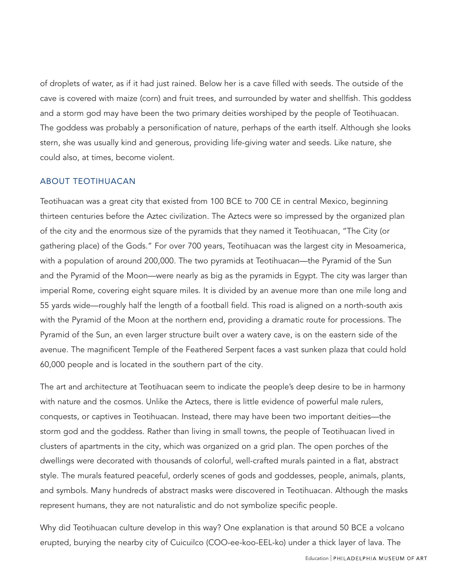of droplets of water, as if it had just rained. Below her is a cave filled with seeds. The outside of the cave is covered with maize (corn) and fruit trees, and surrounded by water and shellfish. This goddess and a storm god may have been the two primary deities worshiped by the people of Teotihuacan. The goddess was probably a personification of nature, perhaps of the earth itself. Although she looks stern, she was usually kind and generous, providing life-giving water and seeds. Like nature, she could also, at times, become violent.

### ABOUT TEOTIHUACAN

Teotihuacan was a great city that existed from 100 BCE to 700 CE in central Mexico, beginning thirteen centuries before the Aztec civilization. The Aztecs were so impressed by the organized plan of the city and the enormous size of the pyramids that they named it Teotihuacan, "The City (or gathering place) of the Gods." For over 700 years, Teotihuacan was the largest city in Mesoamerica, with a population of around 200,000. The two pyramids at Teotihuacan—the Pyramid of the Sun and the Pyramid of the Moon—were nearly as big as the pyramids in Egypt. The city was larger than imperial Rome, covering eight square miles. It is divided by an avenue more than one mile long and 55 yards wide—roughly half the length of a football field. This road is aligned on a north-south axis with the Pyramid of the Moon at the northern end, providing a dramatic route for processions. The Pyramid of the Sun, an even larger structure built over a watery cave, is on the eastern side of the avenue. The magnificent Temple of the Feathered Serpent faces a vast sunken plaza that could hold 60,000 people and is located in the southern part of the city.

The art and architecture at Teotihuacan seem to indicate the people's deep desire to be in harmony with nature and the cosmos. Unlike the Aztecs, there is little evidence of powerful male rulers, conquests, or captives in Teotihuacan. Instead, there may have been two important deities—the storm god and the goddess. Rather than living in small towns, the people of Teotihuacan lived in clusters of apartments in the city, which was organized on a grid plan. The open porches of the dwellings were decorated with thousands of colorful, well-crafted murals painted in a flat, abstract style. The murals featured peaceful, orderly scenes of gods and goddesses, people, animals, plants, and symbols. Many hundreds of abstract masks were discovered in Teotihuacan. Although the masks represent humans, they are not naturalistic and do not symbolize specific people.

Why did Teotihuacan culture develop in this way? One explanation is that around 50 BCE a volcano erupted, burying the nearby city of Cuicuilco (COO-ee-koo-EEL-ko) under a thick layer of lava. The